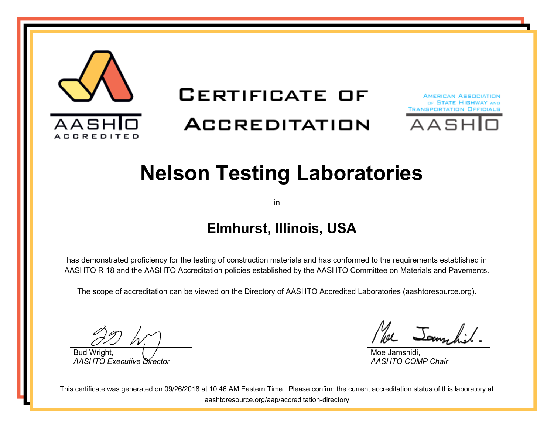

# **CERTIFICATE OF**

# **ACCREDITATION**





# **Nelson Testing Laboratories**

in

## **Elmhurst, Illinois, USA**

has demonstrated proficiency for the testing of construction materials and has conformed to the requirements established in AASHTO R 18 and the AASHTO Accreditation policies established by the AASHTO Committee on Materials and Pavements.

The scope of accreditation can be viewed on the Directory of AASHTO Accredited Laboratories (aashtoresource.org).

Bud Wright, *AASHTO Executive Director*

We Jamschil.

Moe Jamshidi, *AASHTO COMP Chair*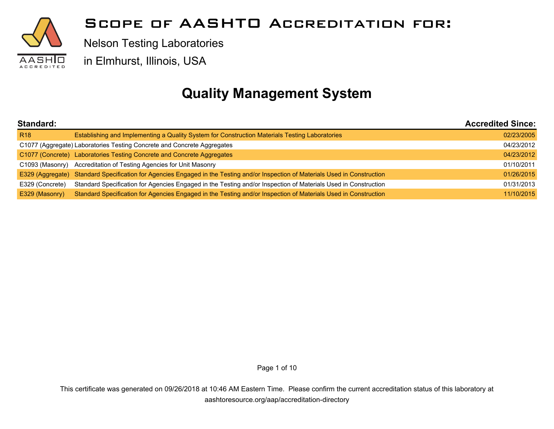

Nelson Testing Laboratories

in Elmhurst, Illinois, USA

## **Quality Management System**

| Standard:       |                                                                                                                                 | <b>Accredited Since:</b> |
|-----------------|---------------------------------------------------------------------------------------------------------------------------------|--------------------------|
| <b>R18</b>      | Establishing and Implementing a Quality System for Construction Materials Testing Laboratories                                  | 02/23/2005               |
|                 | C1077 (Aggregate) Laboratories Testing Concrete and Concrete Aggregates                                                         | 04/23/2012               |
|                 | C1077 (Concrete) Laboratories Testing Concrete and Concrete Aggregates                                                          | 04/23/2012               |
|                 | C1093 (Masonry) Accreditation of Testing Agencies for Unit Masonry                                                              | 01/10/2011               |
|                 | E329 (Aggregate) Standard Specification for Agencies Engaged in the Testing and/or Inspection of Materials Used in Construction | 01/26/2015               |
| E329 (Concrete) | Standard Specification for Agencies Engaged in the Testing and/or Inspection of Materials Used in Construction                  | 01/31/2013               |
| E329 (Masonry)  | Standard Specification for Agencies Engaged in the Testing and/or Inspection of Materials Used in Construction                  | 11/10/2015               |

Page 1 of 10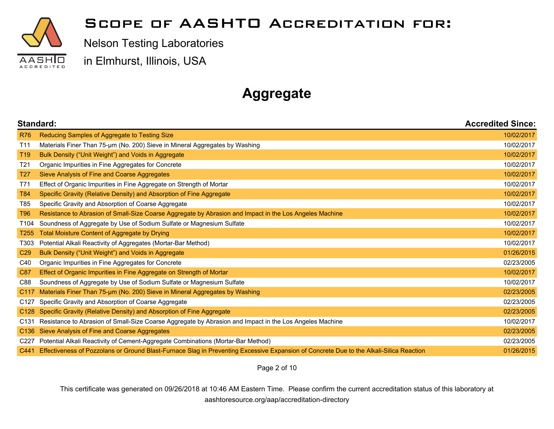

Nelson Testing Laboratories

in Elmhurst, Illinois, USA

# **Aggregate**

|                  | Standard:<br><b>Accredited Since:</b>                                                                                                   |            |
|------------------|-----------------------------------------------------------------------------------------------------------------------------------------|------------|
| <b>R76</b>       | Reducing Samples of Aggregate to Testing Size                                                                                           | 10/02/2017 |
| T <sub>11</sub>  | Materials Finer Than 75-um (No. 200) Sieve in Mineral Aggregates by Washing                                                             | 10/02/2017 |
| T <sub>19</sub>  | Bulk Density ("Unit Weight") and Voids in Aggregate                                                                                     | 10/02/2017 |
| T <sub>21</sub>  | Organic Impurities in Fine Aggregates for Concrete                                                                                      | 10/02/2017 |
| T <sub>27</sub>  | Sieve Analysis of Fine and Coarse Aggregates                                                                                            | 10/02/2017 |
| T71              | Effect of Organic Impurities in Fine Aggregate on Strength of Mortar                                                                    | 10/02/2017 |
| <b>T84</b>       | Specific Gravity (Relative Density) and Absorption of Fine Aggregate                                                                    | 10/02/2017 |
| T85              | Specific Gravity and Absorption of Coarse Aggregate                                                                                     | 10/02/2017 |
| <b>T96</b>       | Resistance to Abrasion of Small-Size Coarse Aggregate by Abrasion and Impact in the Los Angeles Machine                                 | 10/02/2017 |
| T104             | Soundness of Aggregate by Use of Sodium Sulfate or Magnesium Sulfate                                                                    | 10/02/2017 |
| T <sub>255</sub> | Total Moisture Content of Aggregate by Drying                                                                                           | 10/02/2017 |
| T303             | Potential Alkali Reactivity of Aggregates (Mortar-Bar Method)                                                                           | 10/02/2017 |
| C <sub>29</sub>  | Bulk Density ("Unit Weight") and Voids in Aggregate                                                                                     | 01/26/2015 |
| C40              | Organic Impurities in Fine Aggregates for Concrete                                                                                      | 02/23/2005 |
| C87              | Effect of Organic Impurities in Fine Aggregate on Strength of Mortar                                                                    | 10/02/2017 |
| C88              | Soundness of Aggregate by Use of Sodium Sulfate or Magnesium Sulfate                                                                    | 10/02/2017 |
| C <sub>117</sub> | Materials Finer Than 75-um (No. 200) Sieve in Mineral Aggregates by Washing                                                             | 02/23/2005 |
| C <sub>127</sub> | Specific Gravity and Absorption of Coarse Aggregate                                                                                     | 02/23/2005 |
| C <sub>128</sub> | Specific Gravity (Relative Density) and Absorption of Fine Aggregate                                                                    | 02/23/2005 |
| C <sub>131</sub> | Resistance to Abrasion of Small-Size Coarse Aggregate by Abrasion and Impact in the Los Angeles Machine                                 | 10/02/2017 |
| C <sub>136</sub> | Sieve Analysis of Fine and Coarse Aggregates                                                                                            | 02/23/2005 |
| C <sub>227</sub> | Potential Alkali Reactivity of Cement-Aggregate Combinations (Mortar-Bar Method)                                                        | 02/23/2005 |
| C441             | Effectiveness of Pozzolans or Ground Blast-Furnace Slag in Preventing Excessive Expansion of Concrete Due to the Alkali-Silica Reaction | 01/26/2015 |

Page 2 of 10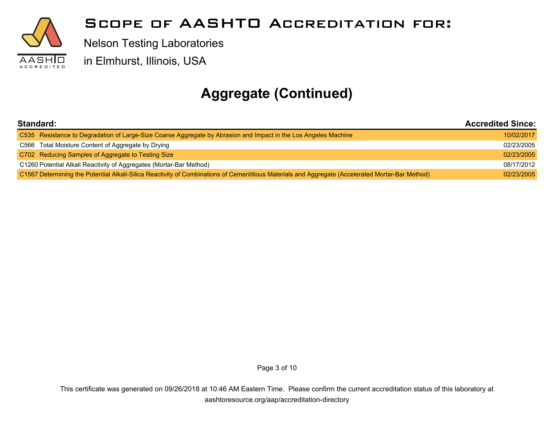

Nelson Testing Laboratories

in Elmhurst, Illinois, USA

# **Aggregate (Continued)**

| Standard:                                                                                                                                        |            |
|--------------------------------------------------------------------------------------------------------------------------------------------------|------------|
| C535 Resistance to Degradation of Large-Size Coarse Aggregate by Abrasion and Impact in the Los Angeles Machine                                  | 10/02/2017 |
| C566 Total Moisture Content of Aggregate by Drying                                                                                               | 02/23/2005 |
| C702 Reducing Samples of Aggregate to Testing Size                                                                                               | 02/23/2005 |
| C1260 Potential Alkali Reactivity of Aggregates (Mortar-Bar Method)                                                                              | 08/17/2012 |
| C1567 Determining the Potential Alkali-Silica Reactivity of Combinations of Cementitious Materials and Aggregate (Accelerated Mortar-Bar Method) | 02/23/2005 |

Page 3 of 10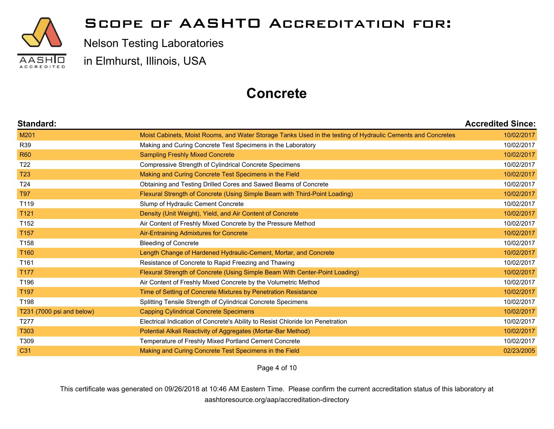

Nelson Testing Laboratories

in Elmhurst, Illinois, USA

### **Concrete**

| Standard:                 |                                                                                                             | <b>Accredited Since:</b> |
|---------------------------|-------------------------------------------------------------------------------------------------------------|--------------------------|
| M201                      | Moist Cabinets, Moist Rooms, and Water Storage Tanks Used in the testing of Hydraulic Cements and Concretes | 10/02/2017               |
| R39                       | Making and Curing Concrete Test Specimens in the Laboratory                                                 | 10/02/2017               |
| <b>R60</b>                | <b>Sampling Freshly Mixed Concrete</b>                                                                      | 10/02/2017               |
| T <sub>22</sub>           | Compressive Strength of Cylindrical Concrete Specimens                                                      | 10/02/2017               |
| <b>T23</b>                | Making and Curing Concrete Test Specimens in the Field                                                      | 10/02/2017               |
| T <sub>24</sub>           | Obtaining and Testing Drilled Cores and Sawed Beams of Concrete                                             | 10/02/2017               |
| <b>T97</b>                | Flexural Strength of Concrete (Using Simple Beam with Third-Point Loading)                                  | 10/02/2017               |
| T119                      | Slump of Hydraulic Cement Concrete                                                                          | 10/02/2017               |
| T121                      | Density (Unit Weight), Yield, and Air Content of Concrete                                                   | 10/02/2017               |
| T <sub>152</sub>          | Air Content of Freshly Mixed Concrete by the Pressure Method                                                | 10/02/2017               |
| T <sub>157</sub>          | Air-Entraining Admixtures for Concrete                                                                      | 10/02/2017               |
| T158                      | <b>Bleeding of Concrete</b>                                                                                 | 10/02/2017               |
| T <sub>160</sub>          | Length Change of Hardened Hydraulic-Cement, Mortar, and Concrete                                            | 10/02/2017               |
| T161                      | Resistance of Concrete to Rapid Freezing and Thawing                                                        | 10/02/2017               |
| T177                      | Flexural Strength of Concrete (Using Simple Beam With Center-Point Loading)                                 | 10/02/2017               |
| T196                      | Air Content of Freshly Mixed Concrete by the Volumetric Method                                              | 10/02/2017               |
| T <sub>197</sub>          | Time of Setting of Concrete Mixtures by Penetration Resistance                                              | 10/02/2017               |
| T198                      | Splitting Tensile Strength of Cylindrical Concrete Specimens                                                | 10/02/2017               |
| T231 (7000 psi and below) | <b>Capping Cylindrical Concrete Specimens</b>                                                               | 10/02/2017               |
| T <sub>277</sub>          | Electrical Indication of Concrete's Ability to Resist Chloride Ion Penetration                              | 10/02/2017               |
| T303                      | Potential Alkali Reactivity of Aggregates (Mortar-Bar Method)                                               | 10/02/2017               |
| T309                      | Temperature of Freshly Mixed Portland Cement Concrete                                                       | 10/02/2017               |
| C <sub>31</sub>           | Making and Curing Concrete Test Specimens in the Field                                                      | 02/23/2005               |

Page 4 of 10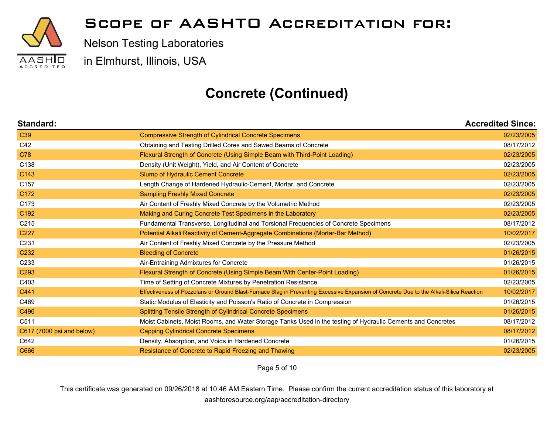

Nelson Testing Laboratories

in Elmhurst, Illinois, USA

## **Concrete (Continued)**

| Standard:                 |                                                                                                                                         | <b>Accredited Since:</b> |
|---------------------------|-----------------------------------------------------------------------------------------------------------------------------------------|--------------------------|
| C <sub>39</sub>           | <b>Compressive Strength of Cylindrical Concrete Specimens</b>                                                                           | 02/23/2005               |
| C42                       | Obtaining and Testing Drilled Cores and Sawed Beams of Concrete                                                                         | 08/17/2012               |
| C78                       | Flexural Strength of Concrete (Using Simple Beam with Third-Point Loading)                                                              | 02/23/2005               |
| C138                      | Density (Unit Weight), Yield, and Air Content of Concrete                                                                               | 02/23/2005               |
| C143                      | Slump of Hydraulic Cement Concrete                                                                                                      | 02/23/2005               |
| C <sub>157</sub>          | Length Change of Hardened Hydraulic-Cement, Mortar, and Concrete                                                                        | 02/23/2005               |
| C172                      | <b>Sampling Freshly Mixed Concrete</b>                                                                                                  | 02/23/2005               |
| C173                      | Air Content of Freshly Mixed Concrete by the Volumetric Method                                                                          | 02/23/2005               |
| C192                      | Making and Curing Concrete Test Specimens in the Laboratory                                                                             | 02/23/2005               |
| C <sub>215</sub>          | Fundamental Transverse, Longitudinal and Torsional Frequencies of Concrete Specimens                                                    | 08/17/2012               |
| C <sub>227</sub>          | Potential Alkali Reactivity of Cement-Aggregate Combinations (Mortar-Bar Method)                                                        | 10/02/2017               |
| C231                      | Air Content of Freshly Mixed Concrete by the Pressure Method                                                                            | 02/23/2005               |
| C <sub>232</sub>          | <b>Bleeding of Concrete</b>                                                                                                             | 01/26/2015               |
| C <sub>233</sub>          | Air-Entraining Admixtures for Concrete                                                                                                  | 01/26/2015               |
| C <sub>293</sub>          | Flexural Strength of Concrete (Using Simple Beam With Center-Point Loading)                                                             | 01/26/2015               |
| C403                      | Time of Setting of Concrete Mixtures by Penetration Resistance                                                                          | 02/23/2005               |
| C441                      | Effectiveness of Pozzolans or Ground Blast-Furnace Slag in Preventing Excessive Expansion of Concrete Due to the Alkali-Silica Reaction | 10/02/2017               |
| C469                      | Static Modulus of Elasticity and Poisson's Ratio of Concrete in Compression                                                             | 01/26/2015               |
| C496                      | <b>Splitting Tensile Strength of Cylindrical Concrete Specimens</b>                                                                     | 01/26/2015               |
| C511                      | Moist Cabinets, Moist Rooms, and Water Storage Tanks Used in the testing of Hydraulic Cements and Concretes                             | 08/17/2012               |
| C617 (7000 psi and below) | <b>Capping Cylindrical Concrete Specimens</b>                                                                                           | 08/17/2012               |
| C642                      | Density, Absorption, and Voids in Hardened Concrete                                                                                     | 01/26/2015               |
| C666                      | Resistance of Concrete to Rapid Freezing and Thawing                                                                                    | 02/23/2005               |

Page 5 of 10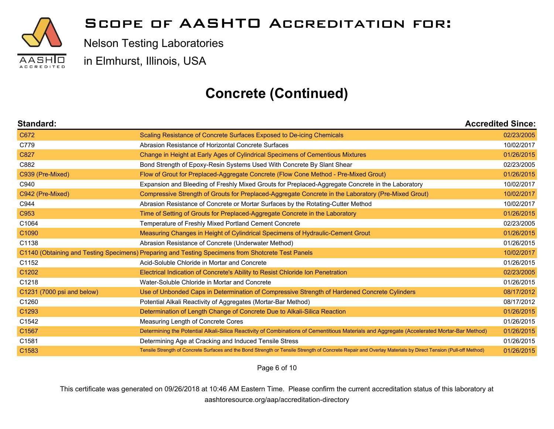

Nelson Testing Laboratories

in Elmhurst, Illinois, USA

## **Concrete (Continued)**

| Standard:                  |                                                                                                                                                              | <b>Accredited Since:</b> |
|----------------------------|--------------------------------------------------------------------------------------------------------------------------------------------------------------|--------------------------|
| C672                       | Scaling Resistance of Concrete Surfaces Exposed to De-icing Chemicals                                                                                        | 02/23/2005               |
| C779                       | Abrasion Resistance of Horizontal Concrete Surfaces                                                                                                          | 10/02/2017               |
| C827                       | Change in Height at Early Ages of Cylindrical Specimens of Cementious Mixtures                                                                               | 01/26/2015               |
| C882                       | Bond Strength of Epoxy-Resin Systems Used With Concrete By Slant Shear                                                                                       | 02/23/2005               |
| C939 (Pre-Mixed)           | Flow of Grout for Preplaced-Aggregate Concrete (Flow Cone Method - Pre-Mixed Grout)                                                                          | 01/26/2015               |
| C940                       | Expansion and Bleeding of Freshly Mixed Grouts for Preplaced-Aggregate Concrete in the Laboratory                                                            | 10/02/2017               |
| C942 (Pre-Mixed)           | Compressive Strength of Grouts for Preplaced-Aggregate Concrete in the Laboratory (Pre-Mixed Grout)                                                          | 10/02/2017               |
| C944                       | Abrasion Resistance of Concrete or Mortar Surfaces by the Rotating-Cutter Method                                                                             | 10/02/2017               |
| C953                       | Time of Setting of Grouts for Preplaced-Aggregate Concrete in the Laboratory                                                                                 | 01/26/2015               |
| C1064                      | Temperature of Freshly Mixed Portland Cement Concrete                                                                                                        | 02/23/2005               |
| C1090                      | Measuring Changes in Height of Cylindrical Specimens of Hydraulic-Cement Grout                                                                               | 01/26/2015               |
| C1138                      | Abrasion Resistance of Concrete (Underwater Method)                                                                                                          | 01/26/2015               |
|                            | C1140 (Obtaining and Testing Specimens) Preparing and Testing Specimens from Shotcrete Test Panels                                                           | 10/02/2017               |
| C1152                      | Acid-Soluble Chloride in Mortar and Concrete                                                                                                                 | 01/26/2015               |
| C1202                      | Electrical Indication of Concrete's Ability to Resist Chloride Ion Penetration                                                                               | 02/23/2005               |
| C1218                      | Water-Soluble Chloride in Mortar and Concrete                                                                                                                | 01/26/2015               |
| C1231 (7000 psi and below) | Use of Unbonded Caps in Determination of Compressive Strength of Hardened Concrete Cylinders                                                                 | 08/17/2012               |
| C1260                      | Potential Alkali Reactivity of Aggregates (Mortar-Bar Method)                                                                                                | 08/17/2012               |
| C1293                      | Determination of Length Change of Concrete Due to Alkali-Silica Reaction                                                                                     | 01/26/2015               |
| C1542                      | Measuring Length of Concrete Cores                                                                                                                           | 01/26/2015               |
| C1567                      | Determining the Potential Alkali-Silica Reactivity of Combinations of Cementitious Materials and Aggregate (Accelerated Mortar-Bar Method)                   | 01/26/2015               |
| C1581                      | Determining Age at Cracking and Induced Tensile Stress                                                                                                       | 01/26/2015               |
| C <sub>1583</sub>          | Tensile Strength of Concrete Surfaces and the Bond Strength or Tensile Strength of Concrete Repair and Overlay Materials by Direct Tension (Pull-off Method) | 01/26/2015               |

Page 6 of 10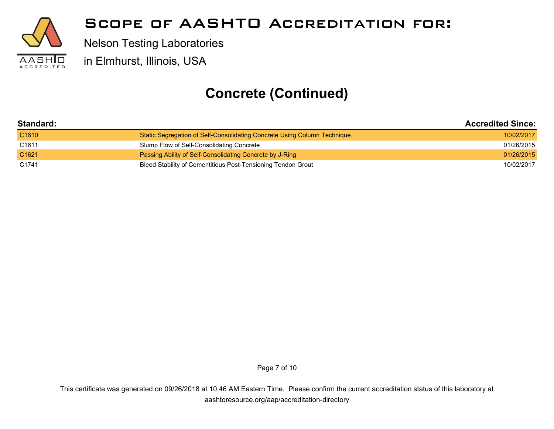

Nelson Testing Laboratories

in Elmhurst, Illinois, USA

## **Concrete (Continued)**

| Standard:         |                                                                          | <b>Accredited Since:</b> |  |
|-------------------|--------------------------------------------------------------------------|--------------------------|--|
| C <sub>1610</sub> | Static Segregation of Self-Consolidating Concrete Using Column Technique | 10/02/2017               |  |
| C <sub>1611</sub> | Slump Flow of Self-Consolidating Concrete                                | 01/26/2015               |  |
| C <sub>1621</sub> | Passing Ability of Self-Consolidating Concrete by J-Ring                 | 01/26/2015               |  |
| C <sub>1741</sub> | Bleed Stability of Cementitious Post-Tensioning Tendon Grout             | 10/02/2017               |  |

Page 7 of 10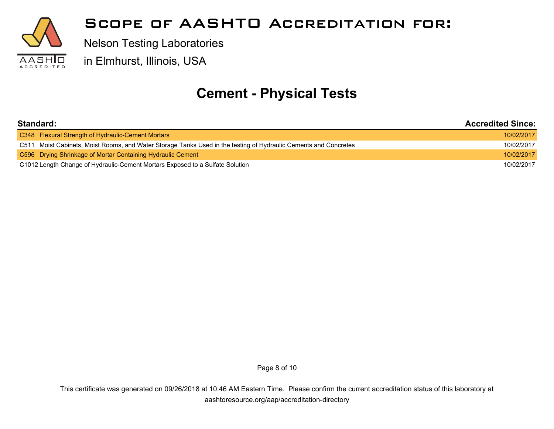

Nelson Testing Laboratories

in Elmhurst, Illinois, USA

## **Cement - Physical Tests**

| Standard:                                                                                                        | <b>Accredited Since:</b> |
|------------------------------------------------------------------------------------------------------------------|--------------------------|
| C348 Flexural Strength of Hydraulic-Cement Mortars                                                               | 10/02/2017               |
| C511 Moist Cabinets, Moist Rooms, and Water Storage Tanks Used in the testing of Hydraulic Cements and Concretes | 10/02/2017               |
| C596 Drying Shrinkage of Mortar Containing Hydraulic Cement                                                      | 10/02/2017               |
| C1012 Length Change of Hydraulic-Cement Mortars Exposed to a Sulfate Solution                                    |                          |

Page 8 of 10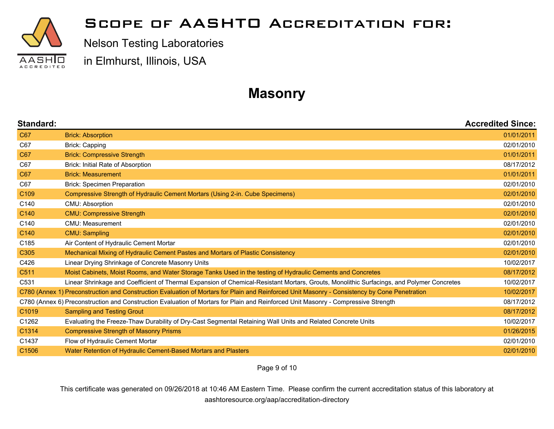

Nelson Testing Laboratories

in Elmhurst, Illinois, USA

## **Masonry**

| Standard:         |                                                                                                                                               | <b>Accredited Since:</b> |
|-------------------|-----------------------------------------------------------------------------------------------------------------------------------------------|--------------------------|
| C67               | <b>Brick: Absorption</b>                                                                                                                      | 01/01/2011               |
| C67               | Brick: Capping                                                                                                                                | 02/01/2010               |
| C67               | <b>Brick: Compressive Strength</b>                                                                                                            | 01/01/2011               |
| C67               | Brick: Initial Rate of Absorption                                                                                                             | 08/17/2012               |
| C67               | <b>Brick: Measurement</b>                                                                                                                     | 01/01/2011               |
| C67               | <b>Brick: Specimen Preparation</b>                                                                                                            | 02/01/2010               |
| C <sub>109</sub>  | Compressive Strength of Hydraulic Cement Mortars (Using 2-in. Cube Specimens)                                                                 | 02/01/2010               |
| C140              | CMU: Absorption                                                                                                                               | 02/01/2010               |
| C <sub>140</sub>  | <b>CMU: Compressive Strength</b>                                                                                                              | 02/01/2010               |
| C140              | CMU: Measurement                                                                                                                              | 02/01/2010               |
| C <sub>140</sub>  | <b>CMU: Sampling</b>                                                                                                                          | 02/01/2010               |
| C185              | Air Content of Hydraulic Cement Mortar                                                                                                        | 02/01/2010               |
| C <sub>305</sub>  | Mechanical Mixing of Hydraulic Cement Pastes and Mortars of Plastic Consistency                                                               | 02/01/2010               |
| C426              | Linear Drying Shrinkage of Concrete Masonry Units                                                                                             | 10/02/2017               |
| C511              | Moist Cabinets, Moist Rooms, and Water Storage Tanks Used in the testing of Hydraulic Cements and Concretes                                   | 08/17/2012               |
| C531              | Linear Shrinkage and Coefficient of Thermal Expansion of Chemical-Resistant Mortars, Grouts, Monolithic Surfacings, and Polymer Concretes     | 10/02/2017               |
|                   | C780 (Annex 1) Preconstruction and Construction Evaluation of Mortars for Plain and Reinforced Unit Masonry - Consistency by Cone Penetration | 10/02/2017               |
|                   | C780 (Annex 6) Preconstruction and Construction Evaluation of Mortars for Plain and Reinforced Unit Masonry - Compressive Strength            | 08/17/2012               |
| C1019             | <b>Sampling and Testing Grout</b>                                                                                                             | 08/17/2012               |
| C1262             | Evaluating the Freeze-Thaw Durability of Dry-Cast Segmental Retaining Wall Units and Related Concrete Units                                   | 10/02/2017               |
| C1314             | <b>Compressive Strength of Masonry Prisms</b>                                                                                                 | 01/26/2015               |
| C <sub>1437</sub> | Flow of Hydraulic Cement Mortar                                                                                                               | 02/01/2010               |
| C <sub>1506</sub> | Water Retention of Hydraulic Cement-Based Mortars and Plasters                                                                                | 02/01/2010               |

Page 9 of 10